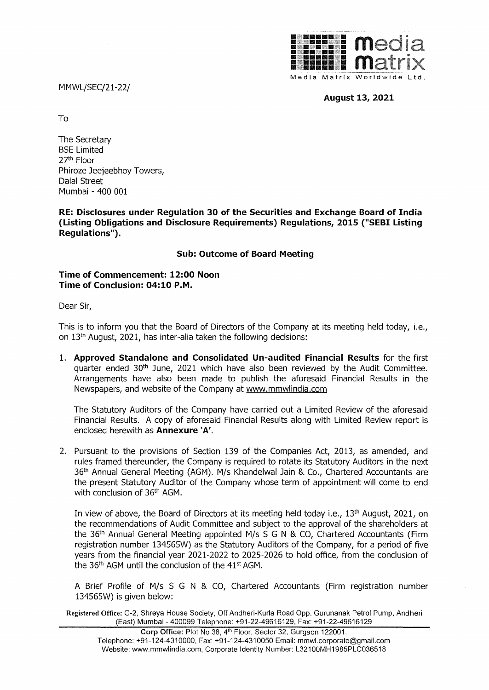MMWL/SEC/21-22/



**August 13, 2021** 

To

The Secretary BSE Limited 27th Floor Phiroze Jeejeebhoy Towers, Dalal Street Mumbai - 400 001

**RE: Disclosures under Regulation 30 of the Securities and Exchange Board of India (Listing Obligations and Disclosure Requirements) Regulations, 2015 ("SEBI Listing Regulations").** 

## **Sub: Outcome of Board Meeting**

## **Time of Commencement: 12:00 Noon Time of Conclusion: 04:10 P.M.**

Dear Sir,

This is to inform you that the Board of Directors of the Company at its meeting held today, i.e., on 13th August, 2021, has inter-alia taken the following decisions:

1. **Approved Standalone and Consolidated Un-audited Financial Results** for the first quarter ended  $30<sup>th</sup>$  June, 2021 which have also been reviewed by the Audit Committee. Arrangements have also been made to publish the aforesaid Financial Results in the Newspapers, and website of the Company at www.mmwlindia.com

The Statutory Auditors of the Company have carried out a Limited Review of the aforesaid Financial Results. A copy of aforesaid Financial Results along with Limited Review report is enclosed herewith as **Annexure 'A'.** 

2. Pursuant to the provisions of Section 139 of the Companies Act, 2013, as amended, and rules framed thereunder, the Company is required to rotate its Statutory Auditors in the next 36<sup>th</sup> Annual General Meeting (AGM). M/s Khandelwal Jain & Co., Chartered Accountants are the present Statutory Auditor of the Company whose term of appointment will come to end with conclusion of 36th AGM.

In view of above, the Board of Directors at its meeting held today i.e., 13<sup>th</sup> August, 2021, on the recommendations of Audit Committee and subject to the approval of the shareholders at the 36<sup>th</sup> Annual General Meeting appointed M/s S G N & CO, Chartered Accountants (Firm registration number 134565W) as the Statutory Auditors of the Company, for a period of five years from the financial year 2021-2022 to 2025-2026 to hold office, from the conclusion of the  $36<sup>th</sup>$  AGM until the conclusion of the  $41<sup>st</sup>$  AGM.

A Brief Profile of M/s S G N & CO, Chartered Accountants (Firm registration number 134565W) is given below:

**Registered Office:** G-2, Shreya House Society, Off Andheri-Kurla Road Opp. Gurunanak Petrol Pump, Andheri (East) Mumbai - 400099 Telephone: +91-22-49616129, Fax: +91-22-49616129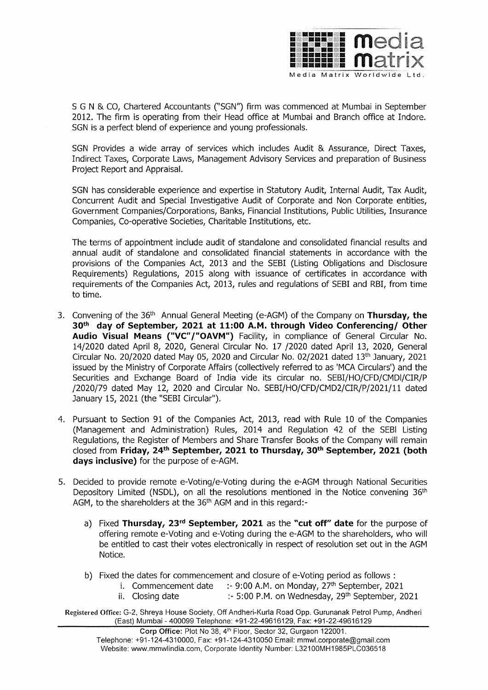

S G N & CO, Chartered Accountants ("SGN") firm was commenced at Mumbai in September 2012. The firm is operating from their Head office at Mumbai and Branch office at Indore. SGN is a perfect blend of experience and young professionals.

SGN Provides a wide array of services which includes Audit & Assurance, Direct Taxes, Indirect Taxes, Corporate Laws, Management Advisory Services and preparation of Business Project Report and Appraisal.

SGN has considerable experience and expertise in Statutory Audit, Internal Audit, Tax Audit, Concurrent Audit and Special Investigative Audit of Corporate and Non Corporate entities, Government Companies/Corporations, Banks, Financial Institutions, Public Utilities, Insurance Companies, Co-operative Societies, Charitable Institutions, etc.

The terms of appointment include audit of standalone and consolidated financial results and annual audit of standalone and consolidated financial statements in accordance with the provisions of the Companies Act, 2013 and the SEBI (Listing Obligations and Disclosure Requirements) Regulations, 2015 along with issuance of certificates in accordance with requirements of the Companies Act, 2013, rules and regulations of SEBI and RBI, from time to time.

- 3. Convening of the 36th Annual General Meeting (e-AGM) of the Company on **Thursday, the 30th day of September, 2021 at 11:00 A.M. through Video Conferencing/ Other Audio Visual Means ("VC"/"OAVM")** Facility, in compliance of General Circular No. 14/2020 dated April 8, 2020, General Circular No. 17 /2020 dated April 13, 2020, General Circular No. 20/2020 dated May 05, 2020 and Circular No. 02/2021 dated 13th January, 2021 issued by the Ministry of Corporate Affairs (collectively referred to as 'MCA Circulars') and the Securities and Exchange Board of India vide its circular no. SEBI/HO/CFD/CMDI/CIR/P /2020/79 dated May 12, 2020 and Circular No. SEBI/HO/CFD/CMD2/CIR/P/2021/11 dated January 15, 2021 (the "SEBI Circular").
- 4. Pursuant to Section 91 of the Companies Act, 2013, read with Rule 10 of the Companies (Management and Administration) Rules, 2014 and Regulation 42 of the SEBI Listing Regulations, the Register of Members and Share Transfer Books of the Company will remain closed from **Friday, 24th September, 2021 to Thursday, 30th September, 2021 (both days inclusive)** for the purpose of e-AGM.
- 5. Decided to provide remote e-Voting/e-Voting during the e-AGM through National Securities Depository Limited (NSDL), on all the resolutions mentioned in the Notice convening 36<sup>th</sup> AGM, to the shareholders at the 36<sup>th</sup> AGM and in this regard:
	- a) Fixed **Thursday, 23rd September, 2021** as the **"cut off" date** for the purpose of offering remote e-Voting and e-Voting during the e-AGM to the shareholders, who will be entitled to cast their votes electronically in respect of resolution set out in the AGM Notice.
	- b) Fixed the dates for commencement and closure of e-Voting period as follows :
		- i. Commencement date  $\therefore$  9:00 A.M. on Monday, 27<sup>th</sup> September, 2021
		- ii. Closing date :- 5:00 P.M. on Wednesday,  $29<sup>th</sup>$  September, 2021

**Registered Office:** G-2, Shreya House Society, Off Andheri-Kurla Road Opp. Gurunanak Petrol Pump, Andheri (East) Mumbai - 400099 Telephone: +91-22-49616129, Fax: +91-22-49616129